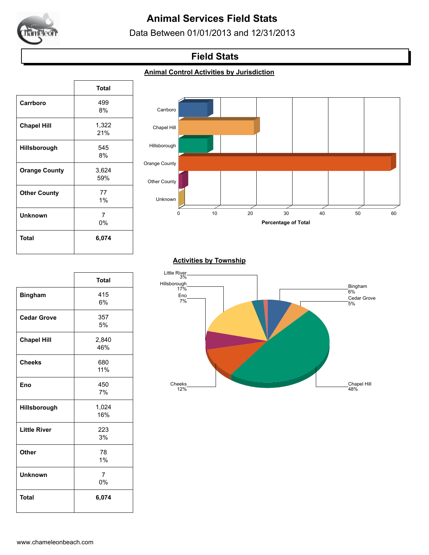

# **Animal Services Field Stats**

Data Between 01/01/2013 and 12/31/2013

## **Field Stats**

### **Animal Control Activities by Jurisdiction**

|                      | <b>Total</b> |
|----------------------|--------------|
| Carrboro             | 499          |
|                      | 8%           |
| <b>Chapel Hill</b>   | 1,322        |
|                      | 21%          |
| Hillsborough         | 545          |
|                      | 8%           |
| <b>Orange County</b> | 3,624        |
|                      | 59%          |
| <b>Other County</b>  | 77           |
|                      | 1%           |
| <b>Unknown</b>       | 7            |
|                      | 0%           |
| Total                | 6,074        |
|                      |              |

 $\sqrt{ }$ 

٦



#### **Activities by Township**



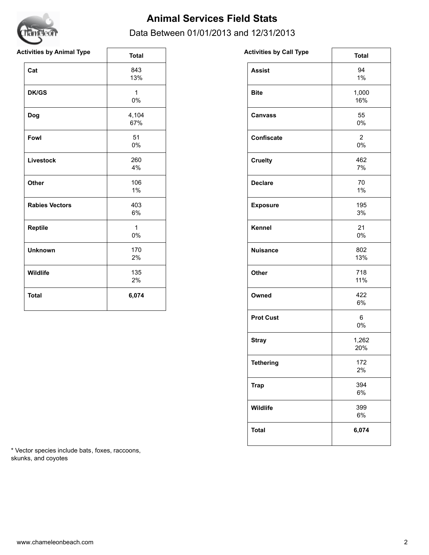

## **Animal Services Field Stats**

### Data Between 01/01/2013 and 12/31/2013

| <b>Activities by Animal Type</b> | <b>Total</b>          | <b>Activities by Call Type</b> | <b>Total</b>            |
|----------------------------------|-----------------------|--------------------------------|-------------------------|
| Cat                              | 843<br>13%            | <b>Assist</b>                  | 94<br>$1\%$             |
| <b>DK/GS</b>                     | $\mathbf{1}$<br>$0\%$ | <b>Bite</b>                    | 1,000<br>16%            |
| Dog                              | 4,104<br>67%          | <b>Canvass</b>                 | 55<br>0%                |
| Fowl                             | 51<br>$0\%$           | Confiscate                     | $\overline{2}$<br>$0\%$ |
| Livestock                        | 260<br>4%             | <b>Cruelty</b>                 | 462<br>7%               |
| Other                            | 106<br>$1\%$          | <b>Declare</b>                 | 70<br>$1\%$             |
| <b>Rabies Vectors</b>            | 403<br>6%             | <b>Exposure</b>                | 195<br>3%               |
| Reptile                          | $\mathbf{1}$<br>$0\%$ | Kennel                         | 21<br>$0\%$             |
| <b>Unknown</b>                   | 170<br>2%             | <b>Nuisance</b>                | 802<br>13%              |
| Wildlife                         | 135<br>2%             | Other                          | 718<br>11%              |
| <b>Total</b>                     | 6,074                 | Owned                          | 422<br>6%               |

| <b>Total</b>           |
|------------------------|
| 94<br>1%               |
| 1,000<br>16%           |
| 55<br>0%               |
| $\boldsymbol{2}$<br>0% |
| 462<br>7%              |
| 70<br>1%               |
| 195<br>3%              |
| 21<br>0%               |
| 802<br>13%             |
| 718<br>11%             |
| 422<br>6%              |
| 6<br>0%                |
| 1,262<br>20%           |
| 172<br>2%              |
| 394<br>6%              |
| 399<br>6%              |
| 6,074                  |
|                        |

\* Vector species include bats, foxes, raccoons, skunks, and coyotes